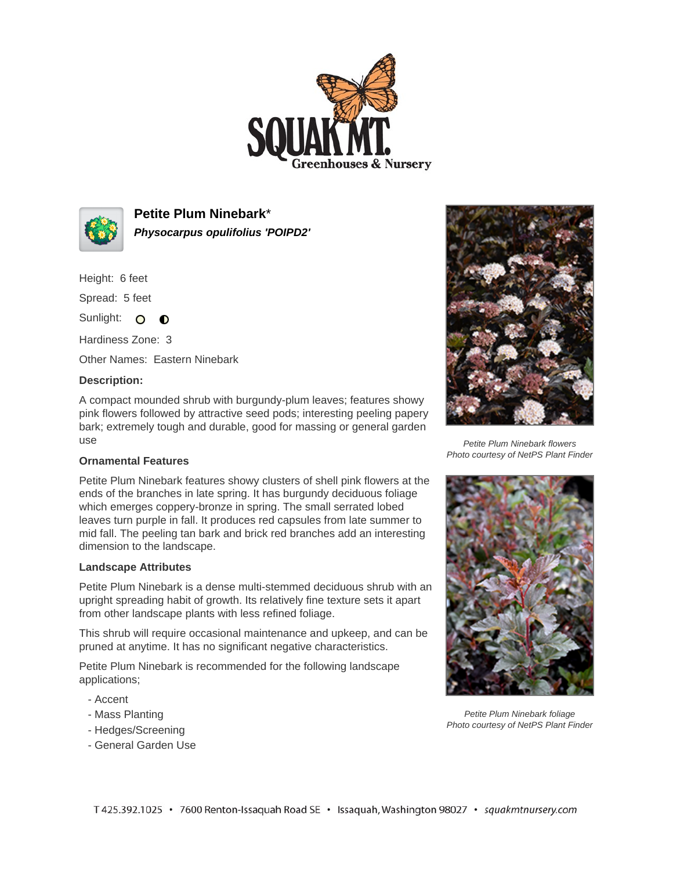



**Petite Plum Ninebark**\* **Physocarpus opulifolius 'POIPD2'**

Height: 6 feet

Spread: 5 feet

Sunlight: O **O** 

Hardiness Zone: 3

Other Names: Eastern Ninebark

## **Description:**

A compact mounded shrub with burgundy-plum leaves; features showy pink flowers followed by attractive seed pods; interesting peeling papery bark; extremely tough and durable, good for massing or general garden use

## **Ornamental Features**

Petite Plum Ninebark features showy clusters of shell pink flowers at the ends of the branches in late spring. It has burgundy deciduous foliage which emerges coppery-bronze in spring. The small serrated lobed leaves turn purple in fall. It produces red capsules from late summer to mid fall. The peeling tan bark and brick red branches add an interesting dimension to the landscape.

## **Landscape Attributes**

Petite Plum Ninebark is a dense multi-stemmed deciduous shrub with an upright spreading habit of growth. Its relatively fine texture sets it apart from other landscape plants with less refined foliage.

This shrub will require occasional maintenance and upkeep, and can be pruned at anytime. It has no significant negative characteristics.

Petite Plum Ninebark is recommended for the following landscape applications;

- Accent
- Mass Planting
- Hedges/Screening
- General Garden Use



Petite Plum Ninebark flowers Photo courtesy of NetPS Plant Finder



Petite Plum Ninebark foliage Photo courtesy of NetPS Plant Finder